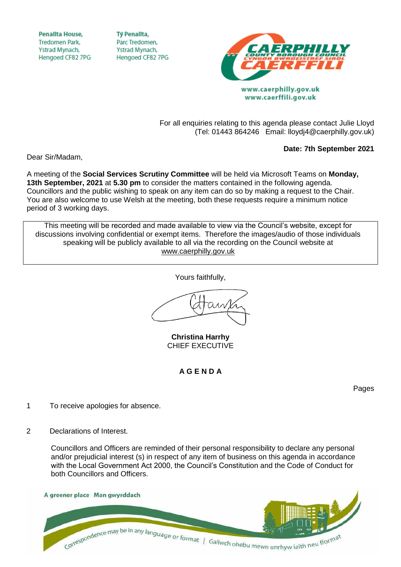**Penallta House, Tredomen Park.** Ystrad Mynach, Hengoed CF82 7PG

**TV Penallta,** Parc Tredomen. Ystrad Mynach, Hengoed CF82 7PG



www.caerphilly.gov.uk www.caerffili.gov.uk

For all enquiries relating to this agenda please contact Julie Lloyd (Tel: 01443 864246 Email: lloydj4@caerphilly.gov.uk)

## **Date: 7th September 2021**

Dear Sir/Madam,

A meeting of the **Social Services Scrutiny Committee** will be held via Microsoft Teams on **Monday, 13th September, 2021** at **5.30 pm** to consider the matters contained in the following agenda. Councillors and the public wishing to speak on any item can do so by making a request to the Chair. You are also welcome to use Welsh at the meeting, both these requests require a minimum notice period of 3 working days.

This meeting will be recorded and made available to view via the Council's website, except for discussions involving confidential or exempt items. Therefore the images/audio of those individuals speaking will be publicly available to all via the recording on the Council website at [www.caerphilly.gov.uk](http://www.caerphilly.gov.uk/)

Yours faithfully,

**Christina Harrhy** CHIEF EXECUTIVE

**A G E N D A**

Pages

- 1 To receive apologies for absence.
- 2 Declarations of Interest.

Councillors and Officers are reminded of their personal responsibility to declare any personal and/or prejudicial interest (s) in respect of any item of business on this agenda in accordance with the Local Government Act 2000, the Council's Constitution and the Code of Conduct for both Councillors and Officers.